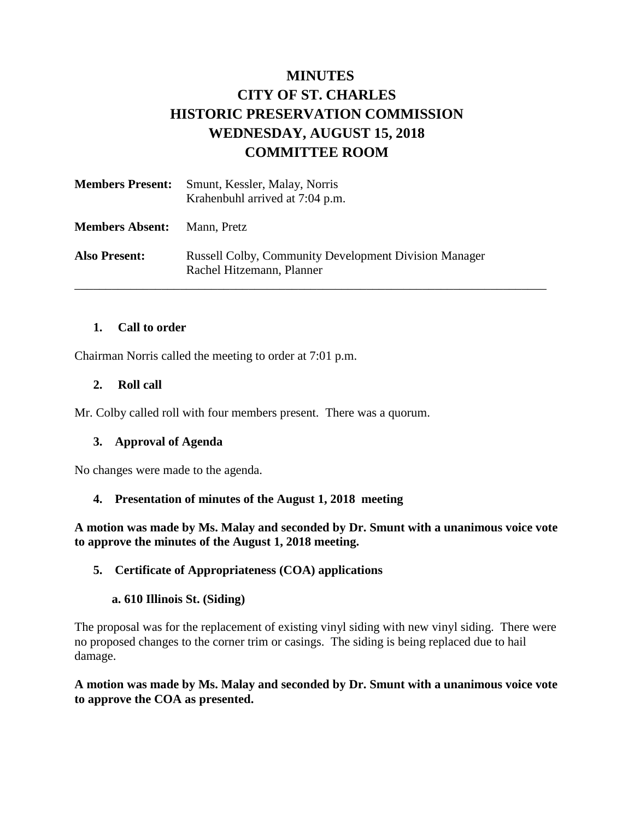# **MINUTES CITY OF ST. CHARLES HISTORIC PRESERVATION COMMISSION WEDNESDAY, AUGUST 15, 2018 COMMITTEE ROOM**

| <b>Members Present:</b> | Smunt, Kessler, Malay, Norris<br>Krahenbuhl arrived at 7:04 p.m.                          |
|-------------------------|-------------------------------------------------------------------------------------------|
| <b>Members Absent:</b>  | Mann, Pretz                                                                               |
| <b>Also Present:</b>    | <b>Russell Colby, Community Development Division Manager</b><br>Rachel Hitzemann, Planner |

#### **1. Call to order**

Chairman Norris called the meeting to order at 7:01 p.m.

#### **2. Roll call**

Mr. Colby called roll with four members present. There was a quorum.

#### **3. Approval of Agenda**

No changes were made to the agenda.

#### **4. Presentation of minutes of the August 1, 2018 meeting**

**A motion was made by Ms. Malay and seconded by Dr. Smunt with a unanimous voice vote to approve the minutes of the August 1, 2018 meeting.** 

#### **5. Certificate of Appropriateness (COA) applications**

#### **a. 610 Illinois St. (Siding)**

The proposal was for the replacement of existing vinyl siding with new vinyl siding. There were no proposed changes to the corner trim or casings. The siding is being replaced due to hail damage.

**A motion was made by Ms. Malay and seconded by Dr. Smunt with a unanimous voice vote to approve the COA as presented.**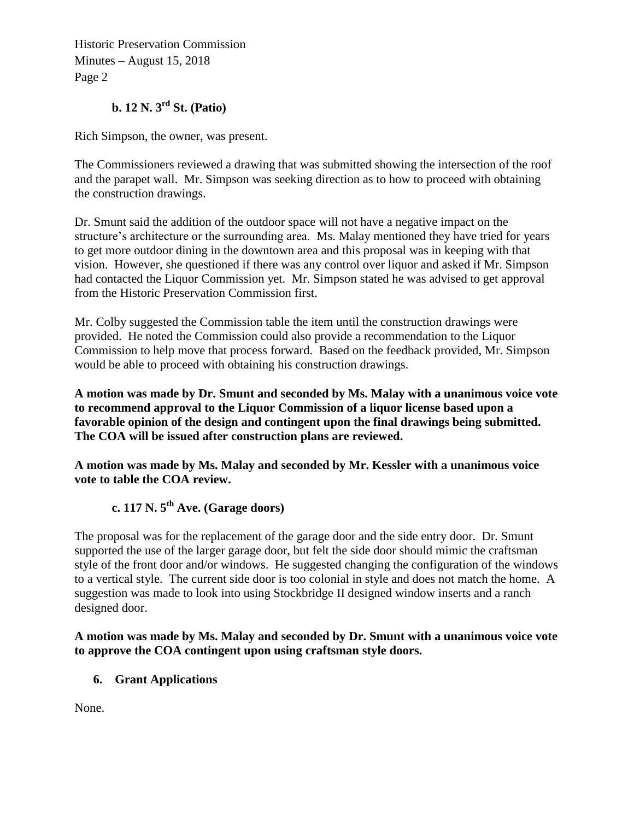Historic Preservation Commission Minutes – August 15, 2018 Page 2

# **b. 12 N. 3rd St. (Patio)**

Rich Simpson, the owner, was present.

The Commissioners reviewed a drawing that was submitted showing the intersection of the roof and the parapet wall. Mr. Simpson was seeking direction as to how to proceed with obtaining the construction drawings.

Dr. Smunt said the addition of the outdoor space will not have a negative impact on the structure's architecture or the surrounding area. Ms. Malay mentioned they have tried for years to get more outdoor dining in the downtown area and this proposal was in keeping with that vision. However, she questioned if there was any control over liquor and asked if Mr. Simpson had contacted the Liquor Commission yet. Mr. Simpson stated he was advised to get approval from the Historic Preservation Commission first.

Mr. Colby suggested the Commission table the item until the construction drawings were provided. He noted the Commission could also provide a recommendation to the Liquor Commission to help move that process forward. Based on the feedback provided, Mr. Simpson would be able to proceed with obtaining his construction drawings.

**A motion was made by Dr. Smunt and seconded by Ms. Malay with a unanimous voice vote to recommend approval to the Liquor Commission of a liquor license based upon a favorable opinion of the design and contingent upon the final drawings being submitted. The COA will be issued after construction plans are reviewed.** 

**A motion was made by Ms. Malay and seconded by Mr. Kessler with a unanimous voice vote to table the COA review.** 

# **c. 117 N. 5th Ave. (Garage doors)**

The proposal was for the replacement of the garage door and the side entry door. Dr. Smunt supported the use of the larger garage door, but felt the side door should mimic the craftsman style of the front door and/or windows. He suggested changing the configuration of the windows to a vertical style. The current side door is too colonial in style and does not match the home. A suggestion was made to look into using Stockbridge II designed window inserts and a ranch designed door.

**A motion was made by Ms. Malay and seconded by Dr. Smunt with a unanimous voice vote to approve the COA contingent upon using craftsman style doors.**

#### **6. Grant Applications**

None.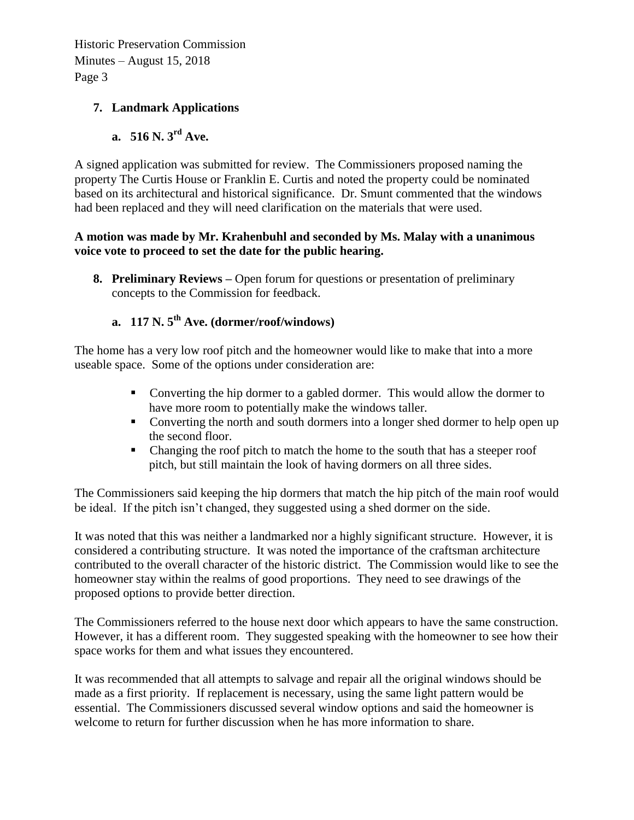Historic Preservation Commission Minutes – August 15, 2018 Page 3

## **7. Landmark Applications**

# **a. 516 N. 3rd Ave.**

A signed application was submitted for review. The Commissioners proposed naming the property The Curtis House or Franklin E. Curtis and noted the property could be nominated based on its architectural and historical significance. Dr. Smunt commented that the windows had been replaced and they will need clarification on the materials that were used.

#### **A motion was made by Mr. Krahenbuhl and seconded by Ms. Malay with a unanimous voice vote to proceed to set the date for the public hearing.**

**8. Preliminary Reviews –** Open forum for questions or presentation of preliminary concepts to the Commission for feedback.

# **a. 117 N. 5th Ave. (dormer/roof/windows)**

The home has a very low roof pitch and the homeowner would like to make that into a more useable space. Some of the options under consideration are:

- Converting the hip dormer to a gabled dormer. This would allow the dormer to have more room to potentially make the windows taller.
- Converting the north and south dormers into a longer shed dormer to help open up the second floor.
- Changing the roof pitch to match the home to the south that has a steeper roof pitch, but still maintain the look of having dormers on all three sides.

The Commissioners said keeping the hip dormers that match the hip pitch of the main roof would be ideal. If the pitch isn't changed, they suggested using a shed dormer on the side.

It was noted that this was neither a landmarked nor a highly significant structure. However, it is considered a contributing structure. It was noted the importance of the craftsman architecture contributed to the overall character of the historic district. The Commission would like to see the homeowner stay within the realms of good proportions. They need to see drawings of the proposed options to provide better direction.

The Commissioners referred to the house next door which appears to have the same construction. However, it has a different room. They suggested speaking with the homeowner to see how their space works for them and what issues they encountered.

It was recommended that all attempts to salvage and repair all the original windows should be made as a first priority. If replacement is necessary, using the same light pattern would be essential. The Commissioners discussed several window options and said the homeowner is welcome to return for further discussion when he has more information to share.